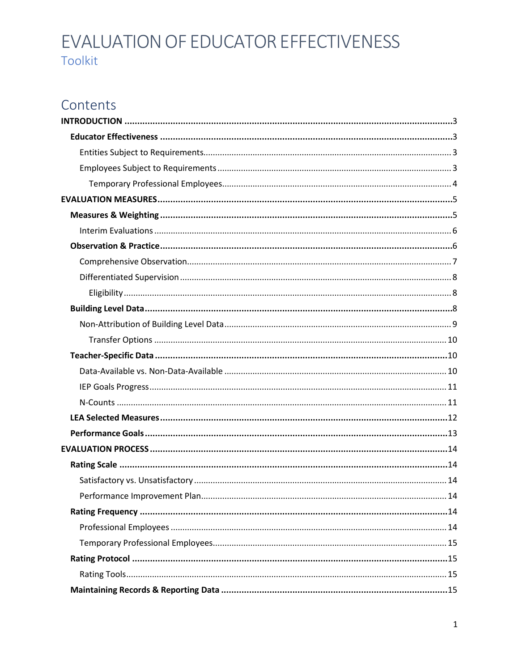# Contents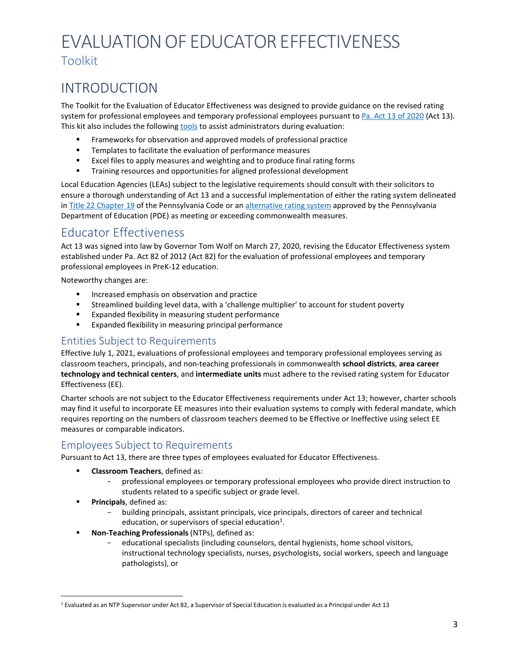# <span id="page-2-0"></span>INTRODUCTION

The Toolkit for the Evaluation of Educator Effectiveness was designed to provide guidance on the revised rating system for professional employees and temporary professional employees pursuant t[o Pa. Act 13 of 2020](https://www.legis.state.pa.us/cfdocs/legis/li/uconsCheck.cfm?yr=2020&sessInd=0&act=13) (Act 13). This kit also includes the following [tools](https://www.pdesas.org/Frameworks/TeacherFrameworks/TeacherEffectiveness/) to assist administrators during evaluation:

- **Frameworks for observation and approved models of professional practice**
- Templates to facilitate the evaluation of performance measures
- Excel files to apply measures and weighting and to produce final rating forms
- **Training resources and opportunities for aligned professional development**

Local Education Agencies (LEAs) subject to the legislative requirements should consult with their solicitors to ensure a thorough understanding of Act 13 and a successful implementation of either the rating system delineated in [Title 22 Chapter 19](https://www.pacodeandbulletin.gov/Display/pabull?file=/secure/pabulletin/data/vol51/51-13/467.html) of the Pennsylvania Code or a[n alternative rating system](https://www.education.pa.gov/Teachers%20-%20Administrators/Educator%20Effectiveness/Pages/AlternateSystem.aspx) approved by the Pennsylvania Department of Education (PDE) as meeting or exceeding commonwealth measures.

## <span id="page-2-1"></span>Educator Effectiveness

Act 13 was signed into law by Governor Tom Wolf on March 27, 2020, revising the Educator Effectiveness system established under Pa. Act 82 of 2012 (Act 82) for the evaluation of professional employees and temporary professional employees in PreK-12 education.

Noteworthy changes are:

- **Increased emphasis on observation and practice**
- Streamlined building level data, with a 'challenge multiplier' to account for student poverty
- Expanded flexibility in measuring student performance
- **Expanded flexibility in measuring principal performance**

## <span id="page-2-2"></span>Entities Subject to Requirements

Effective July 1, 2021, evaluations of professional employees and temporary professional employees serving as classroom teachers, principals, and non-teaching professionals in commonwealth **school districts**, **area career technology and technical centers**, and **intermediate units** must adhere to the revised rating system for Educator Effectiveness (EE).

Charter schools are not subject to the Educator Effectiveness requirements under Act 13; however, charter schools may find it useful to incorporate EE measures into their evaluation systems to comply with federal mandate, which requires reporting on the numbers of classroom teachers deemed to be Effective or Ineffective using select EE measures or comparable indicators.

## <span id="page-2-3"></span>Employees Subject to Requirements

Pursuant to Act 13, there are three types of employees evaluated for Educator Effectiveness.

- **Classroom Teachers**, defined as:
	- professional employees or temporary professional employees who provide direct instruction to students related to a specific subject or grade level.
- **Principals**, defined as:
	- building principals, assistant principals, vice principals, directors of career and technical education, or supervisors of special education<sup>1</sup>.
- **Non-Teaching Professionals** (NTPs), defined as:
	- educational specialists (including counselors, dental hygienists, home school visitors, instructional technology specialists, nurses, psychologists, social workers, speech and language pathologists), or

<span id="page-2-4"></span><sup>1</sup> Evaluated as an NTP Supervisor under Act 82, a Supervisor of Special Education is evaluated as a Principal under Act 13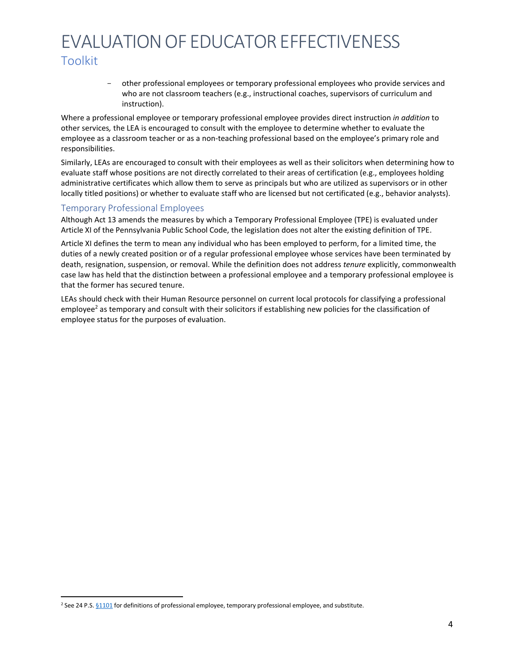- other professional employees or temporary professional employees who provide services and who are not classroom teachers (e.g., instructional coaches, supervisors of curriculum and instruction).

Where a professional employee or temporary professional employee provides direct instruction *in addition* to other services*,* the LEA is encouraged to consult with the employee to determine whether to evaluate the employee as a classroom teacher or as a non-teaching professional based on the employee's primary role and responsibilities.

Similarly, LEAs are encouraged to consult with their employees as well as their solicitors when determining how to evaluate staff whose positions are not directly correlated to their areas of certification (e.g., employees holding administrative certificates which allow them to serve as principals but who are utilized as supervisors or in other locally titled positions) or whether to evaluate staff who are licensed but not certificated (e.g., behavior analysts).

#### <span id="page-3-0"></span>Temporary Professional Employees

Although Act 13 amends the measures by which a Temporary Professional Employee (TPE) is evaluated under Article XI of the Pennsylvania Public School Code, the legislation does not alter the existing definition of TPE.

Article XI defines the term to mean any individual who has been employed to perform, for a limited time, the duties of a newly created position or of a regular professional employee whose services have been terminated by death, resignation, suspension, or removal. While the definition does not address *tenure* explicitly, commonwealth case law has held that the distinction between a professional employee and a temporary professional employee is that the former has secured tenure.

LEAs should check with their Human Resource personnel on current local protocols for classifying a professional employee<sup>2</sup> as temporary and consult with their solicitors if establishing new policies for the classification of employee status for the purposes of evaluation.

<span id="page-3-1"></span><sup>&</sup>lt;sup>2</sup> See 24 P.S. [§1101](https://www.legis.state.pa.us/cfdocs/legis/LI/uconsCheck.cfm?txtType=HTM&yr=1949&sessInd=0&smthLwInd=0&act=14&chpt=11&sctn=1&subsctn=0) for definitions of professional employee, temporary professional employee, and substitute.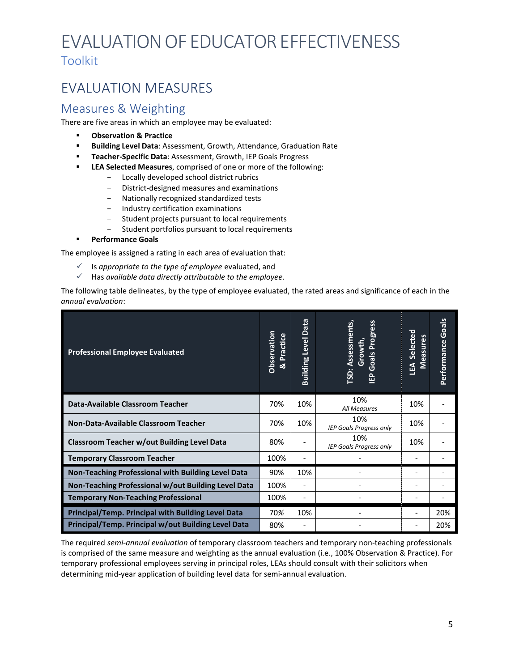# <span id="page-4-0"></span>EVALUATION MEASURES

## <span id="page-4-1"></span>Measures & Weighting

There are five areas in which an employee may be evaluated:

- **Observation & Practice**
- **Building Level Data**: Assessment, Growth, Attendance, Graduation Rate
- **Teacher-Specific Data**: Assessment, Growth, IEP Goals Progress
- **LEA Selected Measures**, comprised of one or more of the following:
	- Locally developed school district rubrics
	- District-designed measures and examinations<br>- Nationally recognized standardized tests
	- Nationally recognized standardized tests<br>- Industry certification examinations
	- Industry certification examinations
	- Student projects pursuant to local requirements
	- Student portfolios pursuant to local requirements
- **Performance Goals**

The employee is assigned a rating in each area of evaluation that:

- Is *appropriate to the type of employee* evaluated, and
- Has *available data directly attributable to the employee*.

The following table delineates, by the type of employee evaluated, the rated areas and significance of each in the *annual evaluation*:

| <b>Professional Employee Evaluated</b>                    | Observation<br>Practice<br>ಷ | Data<br><b>Building Level</b> | TSD: Assessments,<br>gress<br>Growth,<br>Pro<br>Goals<br>ÊP | Selected<br><b>Measures</b><br>EA | Performance Goals |
|-----------------------------------------------------------|------------------------------|-------------------------------|-------------------------------------------------------------|-----------------------------------|-------------------|
| Data-Available Classroom Teacher                          | 70%                          | 10%                           | 10%<br>All Measures                                         | 10%                               |                   |
| Non-Data-Available Classroom Teacher                      | 70%                          | 10%                           | 10%<br><b>IEP Goals Progress only</b>                       | 10%                               |                   |
| <b>Classroom Teacher w/out Building Level Data</b>        | 80%                          |                               | 10%<br><b>IEP Goals Progress only</b>                       | 10%                               |                   |
| <b>Temporary Classroom Teacher</b>                        | 100%                         |                               |                                                             |                                   |                   |
| Non-Teaching Professional with Building Level Data        | 90%                          | 10%                           |                                                             |                                   |                   |
| Non-Teaching Professional w/out Building Level Data       | 100%                         | -                             |                                                             |                                   |                   |
| <b>Temporary Non-Teaching Professional</b>                | 100%                         | $\overline{\phantom{0}}$      |                                                             |                                   |                   |
| <b>Principal/Temp. Principal with Building Level Data</b> | 70%                          | 10%                           |                                                             |                                   | 20%               |
| Principal/Temp. Principal w/out Building Level Data       | 80%                          |                               |                                                             |                                   | 20%               |

The required *semi-annual evaluation* of temporary classroom teachers and temporary non-teaching professionals is comprised of the same measure and weighting as the annual evaluation (i.e., 100% Observation & Practice). For temporary professional employees serving in principal roles, LEAs should consult with their solicitors when determining mid-year application of building level data for semi-annual evaluation.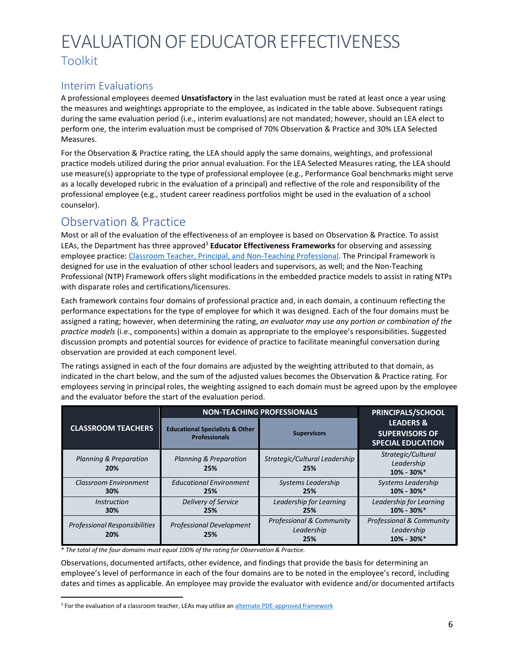## <span id="page-5-0"></span>Interim Evaluations

A professional employees deemed **Unsatisfactory** in the last evaluation must be rated at least once a year using the measures and weightings appropriate to the employee, as indicated in the table above. Subsequent ratings during the same evaluation period (i.e., interim evaluations) are not mandated; however, should an LEA elect to perform one, the interim evaluation must be comprised of 70% Observation & Practice and 30% LEA Selected Measures.

For the Observation & Practice rating, the LEA should apply the same domains, weightings, and professional practice models utilized during the prior annual evaluation. For the LEA Selected Measures rating, the LEA should use measure(s) appropriate to the type of professional employee (e.g., Performance Goal benchmarks might serve as a locally developed rubric in the evaluation of a principal) and reflective of the role and responsibility of the professional employee (e.g., student career readiness portfolios might be used in the evaluation of a school counselor).

## <span id="page-5-1"></span>Observation & Practice

Most or all of the evaluation of the effectiveness of an employee is based on Observation & Practice. To assist LEAs, the Department has three approve[d3](#page-5-2) **Educator Effectiveness Frameworks** for observing and assessing employee practice: [Classroom Teacher, Principal, and Non-Teaching Professional. T](https://www.pdesas.org/Frameworks/TeacherFrameworks/TeacherEffectiveness/)he Principal Framework is designed for use in the evaluation of other school leaders and supervisors, as well; and the Non-Teaching Professional (NTP) Framework offers slight modifications in the embedded practice models to assist in rating NTPs with disparate roles and certifications/licensures.

Each framework contains four domains of professional practice and, in each domain, a continuum reflecting the performance expectations for the type of employee for which it was designed. Each of the four domains must be assigned a rating; however, when determining the rating, *an evaluator may use any portion or combination of the practice models* (i.e., components) within a domain as appropriate to the employee's responsibilities. Suggested discussion prompts and potential sources for evidence of practice to facilitate meaningful conversation during observation are provided at each component level.

The ratings assigned in each of the four domains are adjusted by the weighting attributed to that domain, as indicated in the chart below, and the sum of the adjusted values becomes the Observation & Practice rating. For employees serving in principal roles, the weighting assigned to each domain must be agreed upon by the employee and the evaluator before the start of the evaluation period.

| <b>NON-TEACHING PROFESSIONALS</b>           |                                                                    |                                               | PRINCIPALS/SCHOOL                                                         |  |
|---------------------------------------------|--------------------------------------------------------------------|-----------------------------------------------|---------------------------------------------------------------------------|--|
| <b>CLASSROOM TEACHERS</b>                   | <b>Educational Specialists &amp; Other</b><br><b>Professionals</b> | <b>Supervisors</b>                            | <b>LEADERS &amp;</b><br><b>SUPERVISORS OF</b><br><b>SPECIAL EDUCATION</b> |  |
| <b>Planning &amp; Preparation</b><br>20%    | <b>Planning &amp; Preparation</b><br>25%                           | Strategic/Cultural Leadership<br>25%          | Strategic/Cultural<br>Leadership<br>$10\% - 30\% *$                       |  |
| Classroom Environment<br>30%                | <b>Educational Environment</b><br>25%                              | Systems Leadership<br>25%                     | Systems Leadership<br>$10\% - 30\% *$                                     |  |
| <i><u><b>Instruction</b></u></i><br>30%     | Delivery of Service<br>25%                                         | Leadership for Learning<br>25%                | Leadership for Learning<br>$10\% - 30\% *$                                |  |
| <b>Professional Responsibilities</b><br>20% | <b>Professional Development</b><br>25%                             | Professional & Community<br>Leadership<br>25% | Professional & Community<br>Leadership<br>$10\% - 30\% *$                 |  |

\* *The total of the four domains must equal 100% of the rating for Observation & Practice.*

<span id="page-5-2"></span>Observations, documented artifacts, other evidence, and findings that provide the basis for determining an employee's level of performance in each of the four domains are to be noted in the employee's record, including dates and times as applicable. An employee may provide the evaluator with evidence and/or documented artifacts

<sup>&</sup>lt;sup>3</sup> For the evaluation of a classroom teacher, LEAs may utilize an alternate [PDE-approved](https://www.education.pa.gov/Teachers%20-%20Administrators/Educator%20Effectiveness/Pages/AlternateSystem.aspx) framework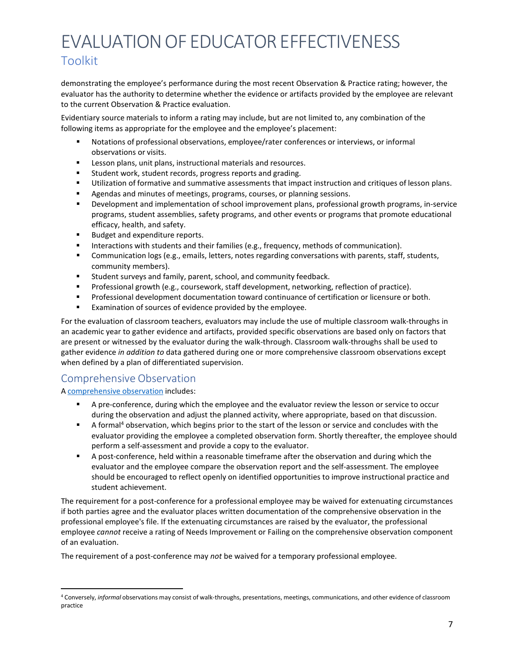demonstrating the employee's performance during the most recent Observation & Practice rating; however, the evaluator has the authority to determine whether the evidence or artifacts provided by the employee are relevant to the current Observation & Practice evaluation.

Evidentiary source materials to inform a rating may include, but are not limited to, any combination of the following items as appropriate for the employee and the employee's placement:

- Notations of professional observations, employee/rater conferences or interviews, or informal observations or visits.
- **EXECT** Lesson plans, unit plans, instructional materials and resources.
- Student work, student records, progress reports and grading.
- Utilization of formative and summative assessments that impact instruction and critiques of lesson plans.
- Agendas and minutes of meetings, programs, courses, or planning sessions.
- Development and implementation of school improvement plans, professional growth programs, in-service programs, student assemblies, safety programs, and other events or programs that promote educational efficacy, health, and safety.
- Budget and expenditure reports.
- **Interactions with students and their families (e.g., frequency, methods of communication).**
- Communication logs (e.g., emails, letters, notes regarding conversations with parents, staff, students, community members).
- Student surveys and family, parent, school, and community feedback.
- **Professional growth (e.g., coursework, staff development, networking, reflection of practice).**
- **Professional development documentation toward continuance of certification or licensure or both.**
- Examination of sources of evidence provided by the employee.

For the evaluation of classroom teachers, evaluators may include the use of multiple classroom walk-throughs in an academic year to gather evidence and artifacts, provided specific observations are based only on factors that are present or witnessed by the evaluator during the walk-through. Classroom walk-throughs shall be used to gather evidence *in addition to* data gathered during one or more comprehensive classroom observations except when defined by a plan of differentiated supervision.

## <span id="page-6-0"></span>Comprehensive Observation

#### A [comprehensive](#page-21-2) observation includes:

- A pre-conference, during which the employee and the evaluator review the lesson or service to occur during the observation and adjust the planned activity, where appropriate, based on that discussion.
- $\blacksquare$  A formal<sup>4</sup> observation, which begins prior to the start of the lesson or service and concludes with the evaluator providing the employee a completed observation form. Shortly thereafter, the employee should perform a self-assessment and provide a copy to the evaluator.
- A post-conference, held within a reasonable timeframe after the observation and during which the evaluator and the employee compare the observation report and the self-assessment. The employee should be encouraged to reflect openly on identified opportunities to improve instructional practice and student achievement.

The requirement for a post-conference for a professional employee may be waived for extenuating circumstances if both parties agree and the evaluator places written documentation of the comprehensive observation in the professional employee's file. If the extenuating circumstances are raised by the evaluator, the professional employee *cannot* receive a rating of Needs Improvement or Failing on the comprehensive observation component of an evaluation.

The requirement of a post-conference may *not* be waived for a temporary professional employee.

<span id="page-6-1"></span><sup>4</sup> Conversely, *informal* observations may consist of walk-throughs, presentations, meetings, communications, and other evidence of classroom practice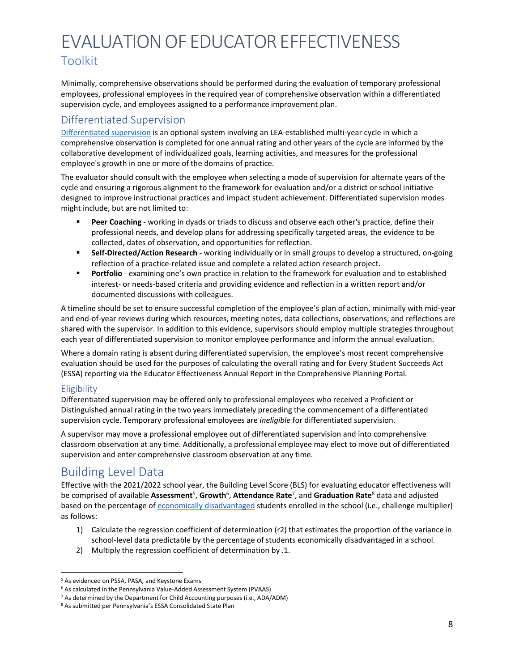Minimally, comprehensive observations should be performed during the evaluation of temporary professional employees, professional employees in the required year of comprehensive observation within a differentiated supervision cycle, and employees assigned to a performance improvement plan.

## <span id="page-7-0"></span>Differentiated Supervision

[Differentiated supervision](#page-22-0) is an optional system involving an LEA-established multi-year cycle in which a comprehensive observation is completed for one annual rating and other years of the cycle are informed by the collaborative development of individualized goals, learning activities, and measures for the professional employee's growth in one or more of the domains of practice.

The evaluator should consult with the employee when selecting a mode of supervision for alternate years of the cycle and ensuring a rigorous alignment to the framework for evaluation and/or a district or school initiative designed to improve instructional practices and impact student achievement. Differentiated supervision modes might include, but are not limited to:

- **Peer Coaching** working in dyads or triads to discuss and observe each other's practice, define their professional needs, and develop plans for addressing specifically targeted areas, the evidence to be collected, dates of observation, and opportunities for reflection.
- **Self-Directed/Action Research** working individually or in small groups to develop a structured, on-going reflection of a practice-related issue and complete a related action research project.
- **Portfolio** examining one's own practice in relation to the framework for evaluation and to established interest- or needs-based criteria and providing evidence and reflection in a written report and/or documented discussions with colleagues.

A timeline should be set to ensure successful completion of the employee's plan of action, minimally with mid-year and end-of-year reviews during which resources, meeting notes, data collections, observations, and reflections are shared with the supervisor. In addition to this evidence, supervisors should employ multiple strategies throughout each year of differentiated supervision to monitor employee performance and inform the annual evaluation.

Where a domain rating is absent during differentiated supervision, the employee's most recent comprehensive evaluation should be used for the purposes of calculating the overall rating and for Every Student Succeeds Act (ESSA) reporting via the Educator Effectiveness Annual Report in the Comprehensive Planning Portal.

## <span id="page-7-1"></span>**Eligibility**

Differentiated supervision may be offered only to professional employees who received a Proficient or Distinguished annual rating in the two years immediately preceding the commencement of a differentiated supervision cycle. Temporary professional employees are *ineligible* for differentiated supervision.

A supervisor may move a professional employee out of differentiated supervision and into comprehensive classroom observation at any time. Additionally, a professional employee may elect to move out of differentiated supervision and enter comprehensive classroom observation at any time.

# <span id="page-7-2"></span>Building Level Data

Effective with the 2021/2022 school year, the Building Level Score (BLS) for evaluating educator effectiveness will be comprised of available **Assessmen[t](#page-7-3)**<sup>5</sup> , **Growth**[6](#page-7-4) , **Attendance Rat[e](#page-7-5)**<sup>7</sup> , and **Graduation Rat[e](#page-7-6)**<sup>8</sup> data and adjusted based on the percentage of [economically disadvantaged](#page-22-1) students enrolled in the school (i.e., challenge multiplier) as follows:

- 1) Calculate the regression coefficient of determination (r2) that estimates the proportion of the variance in school-level data predictable by the percentage of students economically disadvantaged in a school.
- 2) Multiply the regression coefficient of determination by .1.

<span id="page-7-3"></span><sup>5</sup> As evidenced on PSSA, PASA, and Keystone Exams

<span id="page-7-4"></span><sup>6</sup> As calculated in the Pennsylvania Value-Added Assessment System (PVAAS)

<span id="page-7-6"></span><span id="page-7-5"></span><sup>7</sup> As determined by the Department for Child Accounting purposes (i.e., ADA/ADM)

<sup>8</sup> As submitted per Pennsylvania's ESSA Consolidated State Plan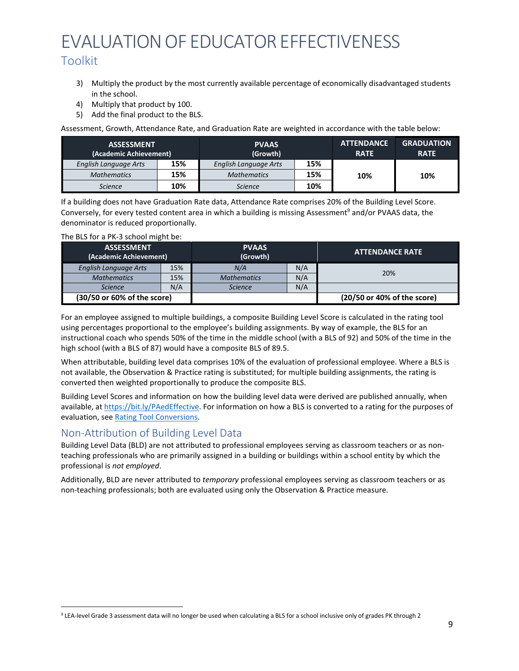- 3) Multiply the product by the most currently available percentage of economically disadvantaged students in the school.
- 4) Multiply that product by 100.
- 5) Add the final product to the BLS.

Assessment, Growth, Attendance Rate, and Graduation Rate are weighted in accordance with the table below:

| <b>ASSESSMENT</b><br>(Academic Achievement) |     | <b>PVAAS</b><br>(Growth)     |     | <b>ATTENDANCE</b><br><b>RATE</b> | <b>GRADUATION</b><br><b>RATE</b> |
|---------------------------------------------|-----|------------------------------|-----|----------------------------------|----------------------------------|
| <b>English Language Arts</b>                | 15% | <b>English Language Arts</b> | 15% |                                  |                                  |
| <b>Mathematics</b>                          | 15% | <b>Mathematics</b>           | 15% | 10%                              | 10%                              |
| <b>Science</b>                              | 10% | <b>Science</b>               | 10% |                                  |                                  |

If a building does not have Graduation Rate data, Attendance Rate comprises 20% of the Building Level Score. Conversely, for every tested content area in which a building is missing Assessment<sup>9</sup> and/or PVAAS data, the denominator is reduced proportionally.

| The BLS for a PK-3 school might be: |  |  |  |
|-------------------------------------|--|--|--|
|-------------------------------------|--|--|--|

| <b>ASSESSMENT</b><br>(Academic Achievement) |     | <b>PVAAS</b><br>(Growth) |     | <b>ATTENDANCE RATE</b>      |
|---------------------------------------------|-----|--------------------------|-----|-----------------------------|
| English Language Arts                       | 15% | N/A                      | N/A | 20%                         |
| <b>Mathematics</b>                          | 15% | <b>Mathematics</b>       | N/A |                             |
| <b>Science</b>                              | N/A | <b>Science</b>           | N/A |                             |
| (30/50 or 60% of the score)                 |     |                          |     | (20/50 or 40% of the score) |

For an employee assigned to multiple buildings, a composite Building Level Score is calculated in the rating tool using percentages proportional to the employee's building assignments. By way of example, the BLS for an instructional coach who spends 50% of the time in the middle school (with a BLS of 92) and 50% of the time in the high school (with a BLS of 87) would have a composite BLS of 89.5.

When attributable, building level data comprises 10% of the evaluation of professional employee. Where a BLS is not available, the Observation & Practice rating is substituted; for multiple building assignments, the rating is converted then weighted proportionally to produce the composite BLS.

Building Level Scores and information on how the building level data were derived are published annually, when available, at [https://bit.ly/PAedEffective. F](https://bit.ly/PAedEffective)or information on how a BLS is converted to a rating for the purposes of evaluation, see Rating Tool [Conversions.](#page-17-2) 

## <span id="page-8-0"></span>Non-Attribution of Building Level Data

Building Level Data (BLD) are not attributed to professional employees serving as classroom teachers or as nonteaching professionals who are primarily assigned in a building or buildings within a school entity by which the professional is *not employed*.

Additionally, BLD are never attributed to *temporary* professional employees serving as classroom teachers or as non-teaching professionals; both are evaluated using only the Observation & Practice measure.

<span id="page-8-1"></span><sup>9</sup> LEA-level Grade 3 assessment data will no longer be used when calculating a BLS for a school inclusive only of grades PK through 2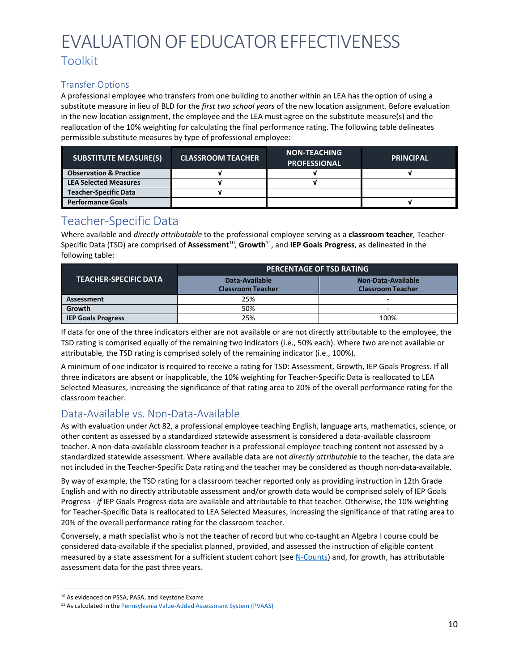## Transfer Options

A professional employee who transfers from one building to another within an LEA has the option of using a substitute measure in lieu of BLD for the *first two school years* of the new location assignment. Before evaluation in the new location assignment, the employee and the LEA must agree on the substitute measure(s) and the reallocation of the 10% weighting for calculating the final performance rating. The following table delineates permissible substitute measures by type of professional employee:

| <b>SUBSTITUTE MEASURE(S)</b>      | <b>CLASSROOM TEACHER</b> | <b>NON-TEACHING</b><br><b>PROFESSIONAL</b> | <b>PRINCIPAL</b> |
|-----------------------------------|--------------------------|--------------------------------------------|------------------|
| <b>Observation &amp; Practice</b> |                          |                                            |                  |
| <b>LEA Selected Measures</b>      |                          |                                            |                  |
| <b>Teacher-Specific Data</b>      |                          |                                            |                  |
| <b>Performance Goals</b>          |                          |                                            |                  |

## <span id="page-9-0"></span>Teacher-Specific Data

Where available and *directly attributable* to the professional employee serving as a **classroom teacher**, Teacher-Specific Data (TSD) are comprised of **Assessment**[10,](#page-9-2) **Growth**[11,](#page-9-3) and **IEP Goals Progress**, as delineated in the following table:

|                              | <b>PERCENTAGE OF TSD RATING</b>            |                                                |  |
|------------------------------|--------------------------------------------|------------------------------------------------|--|
| <b>TEACHER-SPECIFIC DATA</b> | Data-Available<br><b>Classroom Teacher</b> | Non-Data-Available<br><b>Classroom Teacher</b> |  |
| Assessment                   | 25%                                        | -                                              |  |
| Growth                       | 50%                                        | -                                              |  |
| <b>IEP Goals Progress</b>    | 25%                                        | 100%                                           |  |

If data for one of the three indicators either are not available or are not directly attributable to the employee, the TSD rating is comprised equally of the remaining two indicators (i.e., 50% each). Where two are not available or attributable, the TSD rating is comprised solely of the remaining indicator (i.e., 100%).

A minimum of one indicator is required to receive a rating for TSD: Assessment, Growth, IEP Goals Progress. If all three indicators are absent or inapplicable, the 10% weighting for Teacher-Specific Data is reallocated to LEA Selected Measures, increasing the significance of that rating area to 20% of the overall performance rating for the classroom teacher.

## <span id="page-9-1"></span>Data-Available vs. Non-Data-Available

As with evaluation under Act 82, a professional employee teaching English, language arts, mathematics, science, or other content as assessed by a standardized statewide assessment is considered a data-available classroom teacher. A non-data-available classroom teacher is a professional employee teaching content not assessed by a standardized statewide assessment. Where available data are not *directly attributable* to the teacher, the data are not included in the Teacher-Specific Data rating and the teacher may be considered as though non-data-available.

By way of example, the TSD rating for a classroom teacher reported only as providing instruction in 12th Grade English and with no directly attributable assessment and/or growth data would be comprised solely of IEP Goals Progress - *if* IEP Goals Progress data are available and attributable to that teacher. Otherwise, the 10% weighting for Teacher-Specific Data is reallocated to LEA Selected Measures, increasing the significance of that rating area to 20% of the overall performance rating for the classroom teacher.

<span id="page-9-2"></span>Conversely, a math specialist who is not the teacher of record but who co-taught an Algebra I course could be considered data-available if the specialist planned, provided, and assessed the instruction of eligible content measured by a state assessment for a sufficient student cohort (see [N-Counts\)](#page-10-1) and, for growth, has attributable assessment data for the past three years.

<span id="page-9-3"></span><sup>&</sup>lt;sup>10</sup> As evidenced on PSSA, PASA, and Keystone Exams

<sup>&</sup>lt;sup>11</sup> As calculated in the **[Pennsylvania](https://www.education.pa.gov/K-12/Assessment%20and%20Accountability/PVAAS/Pages/default.aspx) Value-Added Assessment System (PVAAS)**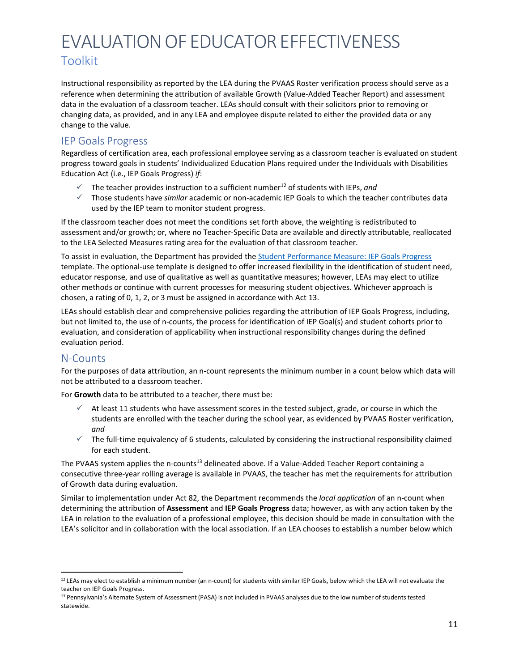Instructional responsibility as reported by the LEA during the PVAAS Roster verification process should serve as a reference when determining the attribution of available Growth (Value-Added Teacher Report) and assessment data in the evaluation of a classroom teacher. LEAs should consult with their solicitors prior to removing or changing data, as provided, and in any LEA and employee dispute related to either the provided data or any change to the value.

## <span id="page-10-0"></span>IEP Goals Progress

Regardless of certification area, each professional employee serving as a classroom teacher is evaluated on student progress toward goals in students' Individualized Education Plans required under the Individuals with Disabilities Education Act (i.e., IEP Goals Progress) *if*:

- $\checkmark$  The teacher provides instruction to a sufficient number<sup>12</sup> of students with IEPs, and
- Those students have *similar* academic or non-academic IEP Goals to which the teacher contributes data used by the IEP team to monitor student progress.

If the classroom teacher does not meet the conditions set forth above, the weighting is redistributed to assessment and/or growth; or, where no Teacher-Specific Data are available and directly attributable, reallocated to the LEA Selected Measures rating area for the evaluation of that classroom teacher.

To assist in evaluation, the Department has provided the **Student Performance Measure: IEP Goals Progress** template. The optional-use template is designed to offer increased flexibility in the identification of student need, educator response, and use of qualitative as well as quantitative measures; however, LEAs may elect to utilize other methods or continue with current processes for measuring student objectives. Whichever approach is chosen, a rating of 0, 1, 2, or 3 must be assigned in accordance with Act 13.

LEAs should establish clear and comprehensive policies regarding the attribution of IEP Goals Progress, including, but not limited to, the use of n-counts, the process for identification of IEP Goal(s) and student cohorts prior to evaluation, and consideration of applicability when instructional responsibility changes during the defined evaluation period.

## <span id="page-10-1"></span>N-Counts

For the purposes of data attribution, an n-count represents the minimum number in a count below which data will not be attributed to a classroom teacher.

For **Growth** data to be attributed to a teacher, there must be:

- $\checkmark$  At least 11 students who have assessment scores in the tested subject, grade, or course in which the students are enrolled with the teacher during the school year, as evidenced by PVAAS Roster verification, *and*
- $\checkmark$  The full-time equivalency of 6 students, calculated by considering the instructional responsibility claimed for each student.

The PVAAS system applies the n-counts<sup>13</sup> delineated above. If a Value-Added Teacher Report containing a consecutive three-year rolling average is available in PVAAS, the teacher has met the requirements for attribution of Growth data during evaluation.

<span id="page-10-2"></span>Similar to implementation under Act 82, the Department recommends the *local application* of an n-count when determining the attribution of **Assessment** and **IEP Goals Progress** data; however, as with any action taken by the LEA in relation to the evaluation of a professional employee, this decision should be made in consultation with the LEA's solicitor and in collaboration with the local association. If an LEA chooses to establish a number below which

<span id="page-10-3"></span> $12$  LEAs may elect to establish a minimum number (an n-count) for students with similar IEP Goals, below which the LEA will not evaluate the teacher on IEP Goals Progress.

<sup>&</sup>lt;sup>13</sup> Pennsylvania's Alternate System of Assessment (PASA) is not included in PVAAS analyses due to the low number of students tested statewide.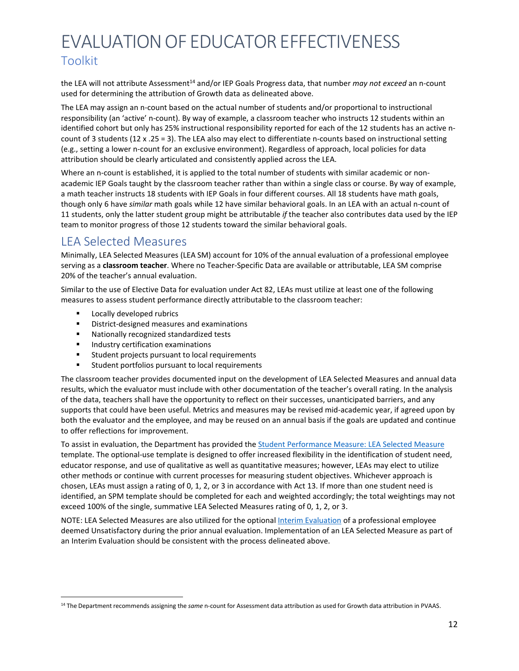the LEA will not attribute Assessment<sup>14</sup> and/or IEP Goals Progress data, that number *may not exceed* an n-count used for determining the attribution of Growth data as delineated above.

The LEA may assign an n-count based on the actual number of students and/or proportional to instructional responsibility (an 'active' n-count). By way of example, a classroom teacher who instructs 12 students within an identified cohort but only has 25% instructional responsibility reported for each of the 12 students has an active ncount of 3 students (12 x .25 = 3). The LEA also may elect to differentiate n-counts based on instructional setting (e.g., setting a lower n-count for an exclusive environment). Regardless of approach, local policies for data attribution should be clearly articulated and consistently applied across the LEA.

Where an n-count is established, it is applied to the total number of students with similar academic or nonacademic IEP Goals taught by the classroom teacher rather than within a single class or course. By way of example, a math teacher instructs 18 students with IEP Goals in four different courses. All 18 students have math goals, though only 6 have *similar* math goals while 12 have similar behavioral goals. In an LEA with an actual n-count of 11 students, only the latter student group might be attributable *if* the teacher also contributes data used by the IEP team to monitor progress of those 12 students toward the similar behavioral goals.

# <span id="page-11-0"></span>LEA Selected Measures

Minimally, LEA Selected Measures (LEA SM) account for 10% of the annual evaluation of a professional employee serving as a **classroom teacher**. Where no Teacher-Specific Data are available or attributable, LEA SM comprise 20% of the teacher's annual evaluation.

Similar to the use of Elective Data for evaluation under Act 82, LEAs must utilize at least one of the following measures to assess student performance directly attributable to the classroom teacher:

- Locally developed rubrics
- District-designed measures and examinations
- **Nationally recognized standardized tests**
- Industry certification examinations
- **Student projects pursuant to local requirements**
- **EXEC** Student portfolios pursuant to local requirements

The classroom teacher provides documented input on the development of LEA Selected Measures and annual data results, which the evaluator must include with other documentation of the teacher's overall rating. In the analysis of the data, teachers shall have the opportunity to reflect on their successes, unanticipated barriers, and any supports that could have been useful. Metrics and measures may be revised mid-academic year, if agreed upon by both the evaluator and the employee, and may be reused on an annual basis if the goals are updated and continue to offer reflections for improvement.

To assist in evaluation, the Department has provided th[e Student Performance Measure: LEA Selected Measure](https://www.pdesas.org/Frameworks/TeacherFrameworks/TeacherEffectiveness/) template. The optional-use template is designed to offer increased flexibility in the identification of student need, educator response, and use of qualitative as well as quantitative measures; however, LEAs may elect to utilize other methods or continue with current processes for measuring student objectives. Whichever approach is chosen, LEAs must assign a rating of 0, 1, 2, or 3 in accordance with Act 13. If more than one student need is identified, an SPM template should be completed for each and weighted accordingly; the total weightings may not exceed 100% of the single, summative LEA Selected Measures rating of 0, 1, 2, or 3.

NOTE: LEA Selected Measures are also utilized for the optional [Interim Evaluation](#page-5-0) of a professional employee deemed Unsatisfactory during the prior annual evaluation. Implementation of an LEA Selected Measure as part of an Interim Evaluation should be consistent with the process delineated above.

<span id="page-11-1"></span><sup>14</sup> The Department recommends assigning the *same* n-count for Assessment data attribution as used for Growth data attribution in PVAAS.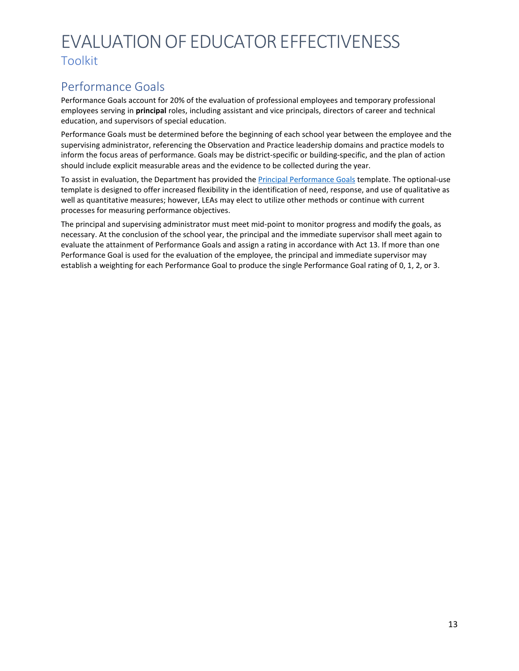# <span id="page-12-0"></span>Performance Goals

Performance Goals account for 20% of the evaluation of professional employees and temporary professional employees serving in **principal** roles, including assistant and vice principals, directors of career and technical education, and supervisors of special education.

Performance Goals must be determined before the beginning of each school year between the employee and the supervising administrator, referencing the Observation and Practice leadership domains and practice models to inform the focus areas of performance. Goals may be district-specific or building-specific, and the plan of action should include explicit measurable areas and the evidence to be collected during the year.

To assist in evaluation, the Department has provided the *Principal Performance Goals* template. The optional-use template is designed to offer increased flexibility in the identification of need, response, and use of qualitative as well as quantitative measures; however, LEAs may elect to utilize other methods or continue with current processes for measuring performance objectives.

The principal and supervising administrator must meet mid-point to monitor progress and modify the goals, as necessary. At the conclusion of the school year, the principal and the immediate supervisor shall meet again to evaluate the attainment of Performance Goals and assign a rating in accordance with Act 13. If more than one Performance Goal is used for the evaluation of the employee, the principal and immediate supervisor may establish a weighting for each Performance Goal to produce the single Performance Goal rating of 0, 1, 2, or 3.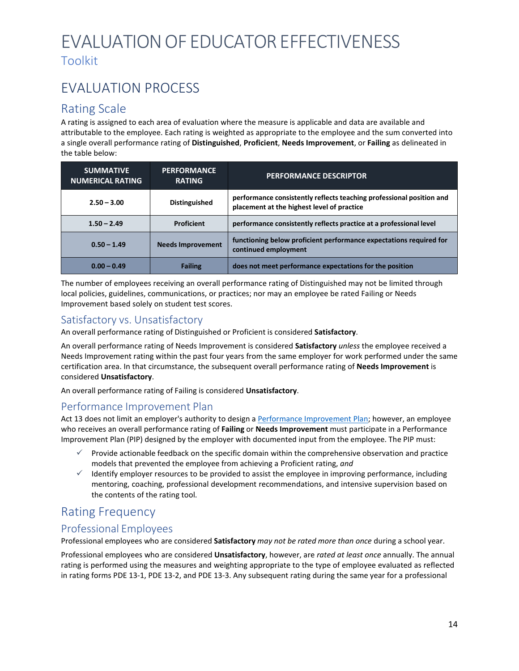# <span id="page-13-0"></span>EVALUATION PROCESS

## <span id="page-13-1"></span>Rating Scale

A rating is assigned to each area of evaluation where the measure is applicable and data are available and attributable to the employee. Each rating is weighted as appropriate to the employee and the sum converted into a single overall performance rating of **Distinguished**, **Proficient**, **Needs Improvement**, or **Failing** as delineated in the table below:

| <b>SUMMATIVE</b><br><b>NUMERICAL RATING</b> | <b>PERFORMANCE</b><br><b>RATING</b> | <b>PERFORMANCE DESCRIPTOR</b>                                                                                      |
|---------------------------------------------|-------------------------------------|--------------------------------------------------------------------------------------------------------------------|
| $2.50 - 3.00$                               | Distinguished                       | performance consistently reflects teaching professional position and<br>placement at the highest level of practice |
| $1.50 - 2.49$                               | Proficient                          | performance consistently reflects practice at a professional level                                                 |
| $0.50 - 1.49$                               | <b>Needs Improvement</b>            | functioning below proficient performance expectations required for<br>continued employment                         |
| $0.00 - 0.49$                               | <b>Failing</b>                      | does not meet performance expectations for the position                                                            |

The number of employees receiving an overall performance rating of Distinguished may not be limited through local policies, guidelines, communications, or practices; nor may an employee be rated Failing or Needs Improvement based solely on student test scores.

## <span id="page-13-2"></span>Satisfactory vs. Unsatisfactory

An overall performance rating of Distinguished or Proficient is considered **Satisfactory**.

An overall performance rating of Needs Improvement is considered **Satisfactory** *unless* the employee received a Needs Improvement rating within the past four years from the same employer for work performed under the same certification area. In that circumstance, the subsequent overall performance rating of **Needs Improvement** is considered **Unsatisfactory**.

An overall performance rating of Failing is considered **Unsatisfactory**.

## <span id="page-13-3"></span>Performance Improvement Plan

Act 13 does not limit an employer's authority to design a [Performance Improvement Plan; h](#page-23-0)owever, an employee who receives an overall performance rating of **Failing** or **Needs Improvement** must participate in a Performance Improvement Plan (PIP) designed by the employer with documented input from the employee. The PIP must:

- $\checkmark$  Provide actionable feedback on the specific domain within the comprehensive observation and practice models that prevented the employee from achieving a Proficient rating, *and*
- $\checkmark$  Identify employer resources to be provided to assist the employee in improving performance, including mentoring, coaching, professional development recommendations, and intensive supervision based on the contents of the rating tool.

# <span id="page-13-4"></span>Rating Frequency

## <span id="page-13-5"></span>Professional Employees

Professional employees who are considered **Satisfactory** *may not be rated more than once* during a school year.

Professional employees who are considered **Unsatisfactory**, however, are *rated at least once* annually. The annual rating is performed using the measures and weighting appropriate to the type of employee evaluated as reflected in rating forms PDE 13-1, PDE 13-2, and PDE 13-3. Any subsequent rating during the same year for a professional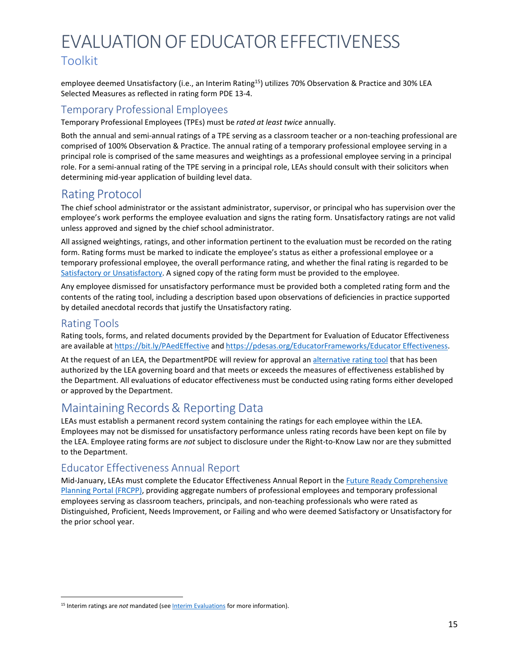employee deemed Unsatisfactory (i.e., an Interim Rating<sup>15</sup>) utilizes 70% Observation & Practice and 30% LEA Selected Measures as reflected in rating form PDE 13-4.

## <span id="page-14-0"></span>Temporary Professional Employees

Temporary Professional Employees (TPEs) must be *rated at least twice* annually.

Both the annual and semi-annual ratings of a TPE serving as a classroom teacher or a non-teaching professional are comprised of 100% Observation & Practice. The annual rating of a temporary professional employee serving in a principal role is comprised of the same measures and weightings as a professional employee serving in a principal role. For a semi-annual rating of the TPE serving in a principal role, LEAs should consult with their solicitors when determining mid-year application of building level data.

## <span id="page-14-1"></span>Rating Protocol

The chief school administrator or the assistant administrator, supervisor, or principal who has supervision over the employee's work performs the employee evaluation and signs the rating form. Unsatisfactory ratings are not valid unless approved and signed by the chief school administrator.

All assigned weightings, ratings, and other information pertinent to the evaluation must be recorded on the rating form. Rating forms must be marked to indicate the employee's status as either a professional employee or a temporary professional employee, the overall performance rating, and whether the final rating is regarded to be Satisfactory or [Unsatisfactory. A](#page-13-2) signed copy of the rating form must be provided to the employee.

Any employee dismissed for unsatisfactory performance must be provided both a completed rating form and the contents of the rating tool, including a description based upon observations of deficiencies in practice supported by detailed anecdotal records that justify the Unsatisfactory rating.

## <span id="page-14-2"></span>Rating Tools

Rating tools, forms, and related documents provided by the Department for Evaluation of Educator Effectiveness are available at <https://bit.ly/PAedEffective> and [https://pdesas.org/EducatorFrameworks/Educator](https://pdesas.org/EducatorFrameworks/EducatorEffectiveness/) Effectiveness.

At the request of an LEA, the DepartmentPDE will review for approval a[n alternative rating tool](https://www.education.pa.gov/Teachers%20-%20Administrators/Educator%20Effectiveness/Pages/AlternateSystem.aspx) that has been authorized by the LEA governing board and that meets or exceeds the measures of effectiveness established by the Department. All evaluations of educator effectiveness must be conducted using rating forms either developed or approved by the Department.

# <span id="page-14-3"></span>Maintaining Records & Reporting Data

LEAs must establish a permanent record system containing the ratings for each employee within the LEA. Employees may not be dismissed for unsatisfactory performance unless rating records have been kept on file by the LEA. Employee rating forms are *not* subject to disclosure under the Right-to-Know Law nor are they submitted to the Department.

## <span id="page-14-4"></span>Educator Effectiveness Annual Report

Mid-January, LEAs must complete the Educator Effectiveness Annual Report in th[e Future Ready Comprehensive](https://www.education.pa.gov/Teachers%20-%20Administrators/Comprehensive%20Planning/Pages/default.aspx) [Planning Portal \(FRCPP\), p](https://www.education.pa.gov/Teachers%20-%20Administrators/Comprehensive%20Planning/Pages/default.aspx)roviding aggregate numbers of professional employees and temporary professional employees serving as classroom teachers, principals, and non-teaching professionals who were rated as Distinguished, Proficient, Needs Improvement, or Failing and who were deemed Satisfactory or Unsatisfactory for the prior school year.

<span id="page-14-5"></span><sup>&</sup>lt;sup>15</sup> Interim ratings are *not* mandated (see **Interim [Evaluations](#page-5-0)** for more information).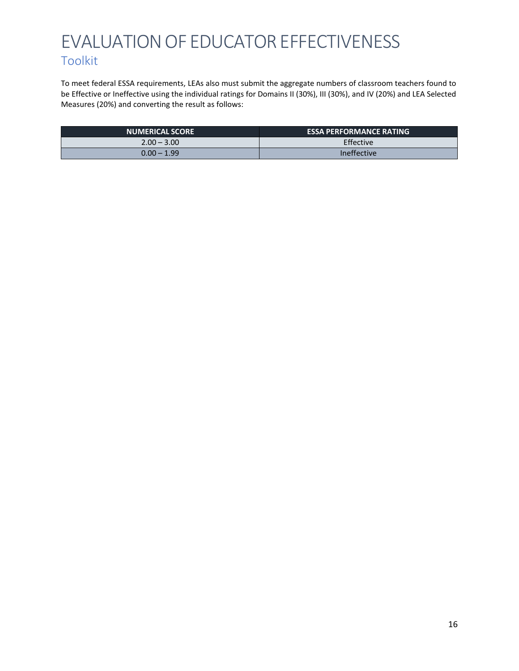To meet federal ESSA requirements, LEAs also must submit the aggregate numbers of classroom teachers found to be Effective or Ineffective using the individual ratings for Domains II (30%), III (30%), and IV (20%) and LEA Selected Measures (20%) and converting the result as follows:

| <b>NUMERICAL SCORE</b> | <b>ESSA PERFORMANCE RATING</b> |
|------------------------|--------------------------------|
| $2.00 - 3.00$          | Effective                      |
| $0.00 - 1.99$          | Ineffective                    |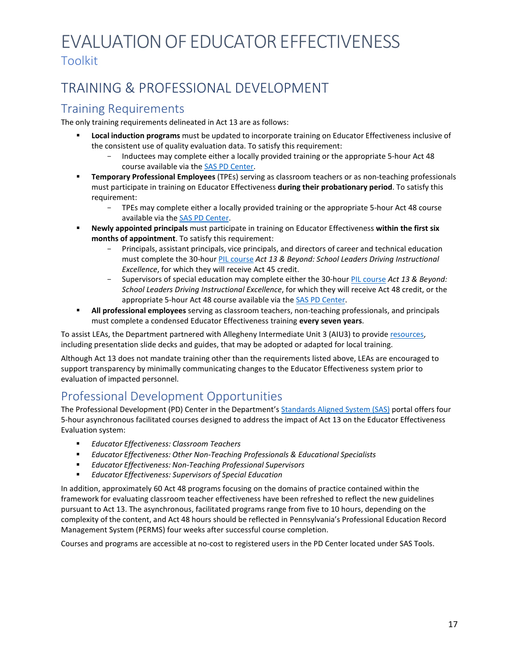# <span id="page-16-0"></span>TRAINING & PROFESSIONAL DEVELOPMENT

## <span id="page-16-1"></span>Training Requirements

The only training requirements delineated in Act 13 are as follows:

- **Local induction programs** must be updated to incorporate training on Educator Effectiveness inclusive of the consistent use of quality evaluation data. To satisfy this requirement:
	- Inductees may complete either a locally provided training or the appropriate 5-hour Act 48 course available via the SAS PD [Center.](https://pdc.pdesas.org/User/Login?ReturnUrl=%2fCourse%2fCourseCatalog)
- **Temporary Professional Employees** (TPEs) serving as classroom teachers or as non-teaching professionals must participate in training on Educator Effectiveness **during their probationary period**. To satisfy this requirement:
	- TPEs may complete either a locally provided training or the appropriate 5-hour Act 48 course available via the SAS PD [Center.](https://pdc.pdesas.org/User/Login?ReturnUrl=%2fCourse%2fCourseCatalog)
- **Newly appointed principals** must participate in training on Educator Effectiveness **within the first six months of appointment**. To satisfy this requirement:
	- Principals, assistant principals, vice principals, and directors of career and technical education must complete the 30-hour [PIL course](https://www.education.pa.gov/Teachers%20-%20Administrators/PA%20Inspired%20Leaders/Schedules/Pages/default.aspx) *Act 13 & Beyond: School Leaders Driving Instructional Excellence*, for which they will receive Act 45 credit.
	- Supervisors of special education may complete either the 30-hour [PIL course](https://www.education.pa.gov/Teachers%20-%20Administrators/PA%20Inspired%20Leaders/Schedules/Pages/default.aspx) *Act 13 & Beyond: School Leaders Driving Instructional Excellence*, for which they will receive Act 48 credit, or the appropriate 5-hour Act 48 course available via the SAS PD [Center.](https://pdc.pdesas.org/User/Login?ReturnUrl=%2fCourse%2fCourseCatalog)
- **All professional employees** serving as classroom teachers, non-teaching professionals, and principals must complete a condensed Educator Effectiveness training **every seven years**.

To assist LEAs, the Department partnered with Allegheny Intermediate Unit 3 (AIU3) to provid[e resources,](https://www.pdesas.org/Frameworks/TeacherFrameworks/TeacherEffectiveness/) including presentation slide decks and guides, that may be adopted or adapted for local training.

Although Act 13 does not mandate training other than the requirements listed above, LEAs are encouraged to support transparency by minimally communicating changes to the Educator Effectiveness system prior to evaluation of impacted personnel.

# <span id="page-16-2"></span>Professional Development Opportunities

The Professional Development (PD) Center in the Department'[s Standards Aligned System \(SAS\)](https://pdesas.org/) portal offers four 5-hour asynchronous facilitated courses designed to address the impact of Act 13 on the Educator Effectiveness Evaluation system:

- *Educator Effectiveness: Classroom Teachers*
- *Educator Effectiveness: Other Non-Teaching Professionals & Educational Specialists*
- *Educator Effectiveness: Non-Teaching Professional Supervisors*
- *Educator Effectiveness: Supervisors of Special Education*

In addition, approximately 60 Act 48 programs focusing on the domains of practice contained within the framework for evaluating classroom teacher effectiveness have been refreshed to reflect the new guidelines pursuant to Act 13. The asynchronous, facilitated programs range from five to 10 hours, depending on the complexity of the content, and Act 48 hours should be reflected in Pennsylvania's Professional Education Record Management System (PERMS) four weeks after successful course completion.

Courses and programs are accessible at no-cost to registered users in the PD Center located under SAS Tools.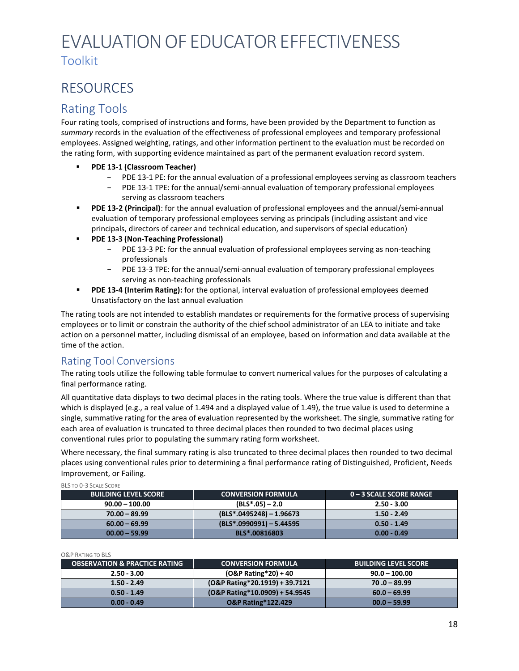# <span id="page-17-0"></span>RESOURCES

# <span id="page-17-1"></span>Rating Tools

Four rating tools, comprised of instructions and forms, have been provided by the Department to function as *summary* records in the evaluation of the effectiveness of professional employees and temporary professional employees. Assigned weighting, ratings, and other information pertinent to the evaluation must be recorded on the rating form, with supporting evidence maintained as part of the permanent evaluation record system.

- **PDE 13-1 (Classroom Teacher)**
	- PDE 13-1 PE: for the annual evaluation of a professional employees serving as classroom teachers
	- PDE 13-1 TPE: for the annual/semi-annual evaluation of temporary professional employees serving as classroom teachers
- **PDE 13-2 (Principal)**: for the annual evaluation of professional employees and the annual/semi-annual evaluation of temporary professional employees serving as principals (including assistant and vice principals, directors of career and technical education, and supervisors of special education)
- **PDE 13-3 (Non-Teaching Professional)**
	- PDE 13-3 PE: for the annual evaluation of professional employees serving as non-teaching professionals
	- PDE 13-3 TPE: for the annual/semi-annual evaluation of temporary professional employees serving as non-teaching professionals
- **PDE 13-4 (Interim Rating):** for the optional, interval evaluation of professional employees deemed Unsatisfactory on the last annual evaluation

The rating tools are not intended to establish mandates or requirements for the formative process of supervising employees or to limit or constrain the authority of the chief school administrator of an LEA to initiate and take action on a personnel matter, including dismissal of an employee, based on information and data available at the time of the action.

## <span id="page-17-2"></span>Rating Tool Conversions

The rating tools utilize the following table formulae to convert numerical values for the purposes of calculating a final performance rating.

All quantitative data displays to two decimal places in the rating tools. Where the true value is different than that which is displayed (e.g., a real value of 1.494 and a displayed value of 1.49), the true value is used to determine a single, summative rating for the area of evaluation represented by the worksheet. The single, summative rating for each area of evaluation is truncated to three decimal places then rounded to two decimal places using conventional rules prior to populating the summary rating form worksheet.

Where necessary, the final summary rating is also truncated to three decimal places then rounded to two decimal places using conventional rules prior to determining a final performance rating of Distinguished, Proficient, Needs Improvement, or Failing.

| DLJ IU UTJ JUALE JUUNE      |                            |                         |
|-----------------------------|----------------------------|-------------------------|
| <b>BUILDING LEVEL SCORE</b> | <b>CONVERSION FORMULA</b>  | 0 – 3 SCALE SCORE RANGE |
| $90.00 - 100.00$            | $(BLS*.05) - 2.0$          | $2.50 - 3.00$           |
| $70.00 - 89.99$             | $(BLS*.0495248) - 1.96673$ | $1.50 - 2.49$           |
| $60.00 - 69.99$             | $(BLS*.0990991) - 5.44595$ | $0.50 - 1.49$           |
| $00.00 - 59.99$             | BLS*.00816803              | $0.00 - 0.49$           |

BLS TO 0-3 SCALE SCORE

#### O&P RATING TO BLS

| <b>OBSERVATION &amp; PRACTICE RATING</b> | <b>CONVERSION FORMULA</b>                | <b>BUILDING LEVEL SCORE</b> |
|------------------------------------------|------------------------------------------|-----------------------------|
| $2.50 - 3.00$                            | $(O&P \text{ Rating*20}) + 40$           | $90.0 - 100.00$             |
| $1.50 - 2.49$                            | $(O&P \text{ Rating*20.1919}) + 39.7121$ | $70.0 - 89.99$              |
| $0.50 - 1.49$                            | (O&P Rating*10.0909) + 54.9545           | $60.0 - 69.99$              |
| $0.00 - 0.49$                            | <b>O&amp;P Rating*122.429</b>            | $00.0 - 59.99$              |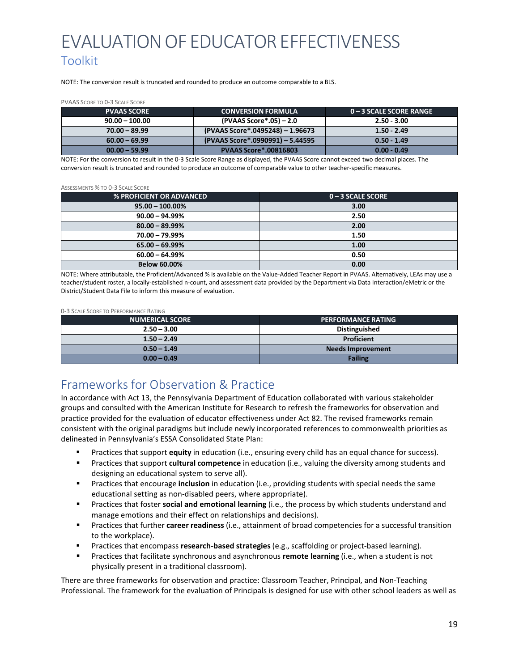NOTE: The conversion result is truncated and rounded to produce an outcome comparable to a BLS.

#### PVAAS SCORE TO 0-3 SCALE SCORE

| <b>PVAAS SCORE</b> | <b>CONVERSION FORMULA</b>        | . 0 – 3 SCALE SCORE RANGE ' |
|--------------------|----------------------------------|-----------------------------|
| $90.00 - 100.00$   | (PVAAS Score*.05) - 2.0          | $2.50 - 3.00$               |
| $70.00 - 89.99$    | (PVAAS Score*.0495248) - 1.96673 | $1.50 - 2.49$               |
| $60.00 - 69.99$    | (PVAAS Score*.0990991) - 5.44595 | $0.50 - 1.49$               |
| $00.00 - 59.99$    | <b>PVAAS Score*.00816803</b>     | $0.00 - 0.49$               |

NOTE: For the conversion to result in the 0-3 Scale Score Range as displayed, the PVAAS Score cannot exceed two decimal places. The conversion result is truncated and rounded to produce an outcome of comparable value to other teacher-specific measures.

#### ASSESSMENTS % TO 0-3 SCALE SCORE

| <b>% PROFICIENT OR ADVANCED</b> | ∣ 0 − 3 SCALE SCORE , |
|---------------------------------|-----------------------|
| $95.00 - 100.00\%$              | 3.00                  |
| $90.00 - 94.99%$                | 2.50                  |
| $80.00 - 89.99%$                | 2.00                  |
| $70.00 - 79.99%$                | 1.50                  |
| $65.00 - 69.99%$                | 1.00                  |
| $60.00 - 64.99%$                | 0.50                  |
| <b>Below 60.00%</b>             | 0.00                  |

NOTE: Where attributable, the Proficient/Advanced % is available on the Value-Added Teacher Report in PVAAS. Alternatively, LEAs may use a teacher/student roster, a locally-established n-count, and assessment data provided by the Department via Data Interaction/eMetric or the District/Student Data File to inform this measure of evaluation.

#### 0-3 SCALE SCORE TO PERFORMANCE RATING

| <b>NUMERICAL SCORE</b> | <b>PERFORMANCE RATING</b> |
|------------------------|---------------------------|
| $2.50 - 3.00$          | <b>Distinguished</b>      |
| $1.50 - 2.49$          | Proficient                |
| $0.50 - 1.49$          | <b>Needs Improvement</b>  |
| $0.00 - 0.49$          | <b>Failing</b>            |

## <span id="page-18-0"></span>Frameworks for Observation & Practice

In accordance with Act 13, the Pennsylvania Department of Education collaborated with various stakeholder groups and consulted with the American Institute for Research to refresh the frameworks for observation and practice provided for the evaluation of educator effectiveness under Act 82. The revised frameworks remain consistent with the original paradigms but include newly incorporated references to commonwealth priorities as delineated in Pennsylvania's ESSA Consolidated State Plan:

- Practices that support **equity** in education (i.e., ensuring every child has an equal chance for success).
- Practices that support **cultural competence** in education (i.e., valuing the diversity among students and designing an educational system to serve all).
- Practices that encourage **inclusion** in education (i.e., providing students with special needs the same educational setting as non-disabled peers, where appropriate).
- **Practices that foster social and emotional learning** (i.e., the process by which students understand and manage emotions and their effect on relationships and decisions).
- Practices that further **career readiness** (i.e., attainment of broad competencies for a successful transition to the workplace).
- Practices that encompass **research-based strategies** (e.g., scaffolding or project-based learning).
- Practices that facilitate synchronous and asynchronous **remote learning** (i.e., when a student is not physically present in a traditional classroom).

There are three frameworks for observation and practice: Classroom Teacher, Principal, and Non-Teaching Professional. The framework for the evaluation of Principals is designed for use with other school leaders as well as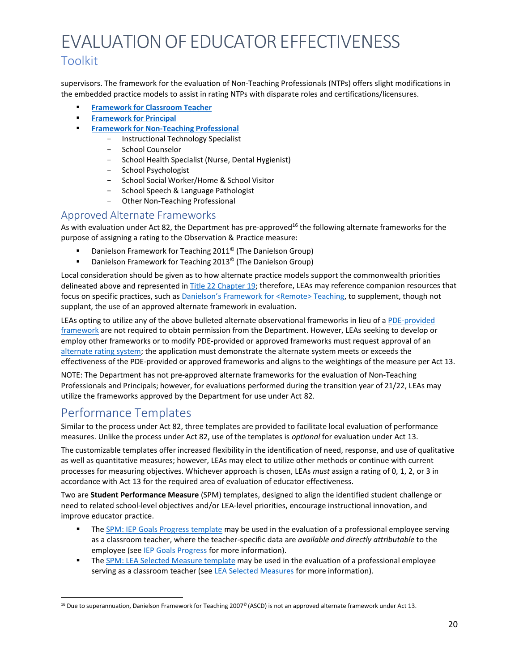## Toolkit

supervisors. The framework for the evaluation of Non-Teaching Professionals (NTPs) offers slight modifications in the embedded practice models to assist in rating NTPs with disparate roles and certifications/licensures.

- **[Framework](https://www.pdesas.org/Frameworks/TeacherFrameworks/TeacherEffectiveness/) for Classroom Teacher**
- **[Framework for](https://www.pdesas.org/Frameworks/TeacherFrameworks/TeacherEffectiveness/) Principal**
- **Framework for [Non-Teaching](https://www.pdesas.org/Frameworks/TeacherFrameworks/TeacherEffectiveness/) Professional**
	- Instructional Technology Specialist
	- School Counselor
	- School Health Specialist (Nurse, Dental Hygienist)
	- School Psychologist
	- School Social Worker/Home & School Visitor
	- School Speech & Language Pathologist
	- Other Non-Teaching Professional

## <span id="page-19-0"></span>Approved Alternate Frameworks

As with evaluation under Act 82, the Department has pre-approved<sup>16</sup> the following alternate frameworks for the purpose of assigning a rating to the Observation & Practice measure:

- Danielson Framework for Teaching 2011© (The Danielson Group)
- **•** Danielson Framework for Teaching 2013<sup>©</sup> (The Danielson Group)

Local consideration should be given as to how alternate practice models support the commonwealth priorities delineated above and represented i[n Title 22 Chapter 19; t](http://www.pacodeandbulletin.gov/Display/pacode?file=/secure/pacode/data/022/chapter19/chap19toc.html&d)herefore, LEAs may reference companion resources that focus on specific practices, such a[s Danielson's Framework for <Remote> Teaching, t](https://danielsongroup.org/)o supplement, though not supplant, the use of an approved alternate framework in evaluation.

LEAs opting to utilize any of the above bulleted alternate observational frameworks in lieu of a [PDE-provided](https://www.pdesas.org/Frameworks/TeacherFrameworks/TeacherEffectiveness/) [framework](https://www.pdesas.org/Frameworks/TeacherFrameworks/TeacherEffectiveness/) are not required to obtain permission from the Department. However, LEAs seeking to develop or employ other frameworks or to modify PDE-provided or approved frameworks must request approval of an [alternate rating system; t](https://www.education.pa.gov/Teachers%20-%20Administrators/Educator%20Effectiveness/Pages/AlternateSystem.aspx)he application must demonstrate the alternate system meets or exceeds the effectiveness of the PDE-provided or approved frameworks and aligns to the weightings of the measure per Act 13.

NOTE: The Department has not pre-approved alternate frameworks for the evaluation of Non-Teaching Professionals and Principals; however, for evaluations performed during the transition year of 21/22, LEAs may utilize the frameworks approved by the Department for use under Act 82.

# <span id="page-19-1"></span>Performance Templates

Similar to the process under Act 82, three templates are provided to facilitate local evaluation of performance measures. Unlike the process under Act 82, use of the templates is *optional* for evaluation under Act 13.

The customizable templates offer increased flexibility in the identification of need, response, and use of qualitative as well as quantitative measures; however, LEAs may elect to utilize other methods or continue with current processes for measuring objectives. Whichever approach is chosen, LEAs *must* assign a rating of 0, 1, 2, or 3 in accordance with Act 13 for the required area of evaluation of educator effectiveness.

Two are **Student Performance Measure** (SPM) templates, designed to align the identified student challenge or need to related school-level objectives and/or LEA-level priorities, encourage instructional innovation, and improve educator practice.

- **The [SPM: IEP Goals Progress template](https://www.pdesas.org/Frameworks/TeacherFrameworks/TeacherEffectiveness/) may be used in the evaluation of a professional employee serving** as a classroom teacher, where the teacher-specific data are *available and directly attributable* to the employee (see [IEP Goals](#page-10-0) Progress for more information).
- **The [SPM: LEA Selected Measure template](https://www.pdesas.org/Frameworks/TeacherFrameworks/TeacherEffectiveness/) may be used in the evaluation of a professional employee** serving as a classroom teacher (see **LEA Selected [Measures](#page-11-0)** for more information).

<span id="page-19-2"></span> $16$  Due to superannuation, Danielson Framework for Teaching 2007<sup>©</sup> (ASCD) is not an approved alternate framework under Act 13.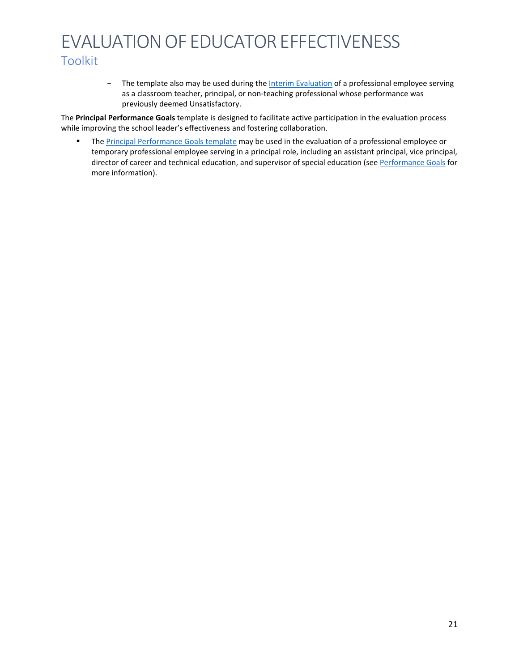- The template also may be used during the **[Interim Evaluation](#page-5-0)** of a professional employee serving as a classroom teacher, principal, or non-teaching professional whose performance was previously deemed Unsatisfactory.

The **Principal Performance Goals** template is designed to facilitate active participation in the evaluation process while improving the school leader's effectiveness and fostering collaboration.

The [Principal Performance Goals template](https://www.pdesas.org/Frameworks/TeacherFrameworks/TeacherEffectiveness/) may be used in the evaluation of a professional employee or temporary professional employee serving in a principal role, including an assistant principal, vice principal, director of career and technical education, and supervisor of special education (see [Performance Goals](#page-12-0) for more information).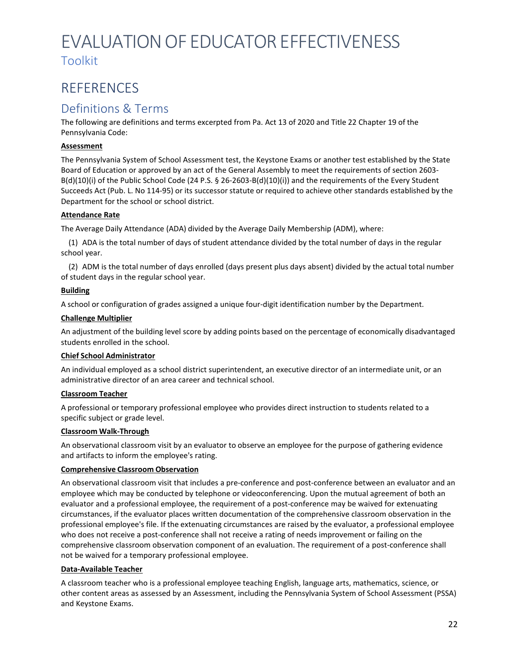# <span id="page-21-0"></span>REFERENCES

# <span id="page-21-1"></span>Definitions & Terms

The following are definitions and terms excerpted from Pa. Act 13 of 2020 and Title 22 Chapter 19 of the Pennsylvania Code:

#### **Assessment**

The Pennsylvania System of School Assessment test, the Keystone Exams or another test established by the State Board of Education or approved by an act of the General Assembly to meet the requirements of section 2603- B(d)(10)(i) of the Public School Code (24 P.S. § 26-2603-B(d)(10)(i)) and the requirements of the Every Student Succeeds Act (Pub. L. No 114-95) or its successor statute or required to achieve other standards established by the Department for the school or school district.

#### **Attendance Rate**

The Average Daily Attendance (ADA) divided by the Average Daily Membership (ADM), where:

(1) ADA is the total number of days of student attendance divided by the total number of days in the regular school year.

(2) ADM is the total number of days enrolled (days present plus days absent) divided by the actual total number of student days in the regular school year.

### **Building**

A school or configuration of grades assigned a unique four-digit identification number by the Department.

#### **Challenge Multiplier**

An adjustment of the building level score by adding points based on the percentage of economically disadvantaged students enrolled in the school.

#### **Chief School Administrator**

An individual employed as a school district superintendent, an executive director of an intermediate unit, or an administrative director of an area career and technical school.

#### **Classroom Teacher**

A professional or temporary professional employee who provides direct instruction to students related to a specific subject or grade level.

#### **Classroom Walk-Through**

An observational classroom visit by an evaluator to observe an employee for the purpose of gathering evidence and artifacts to inform the employee's rating.

#### <span id="page-21-2"></span>**Comprehensive Classroom Observation**

An observational classroom visit that includes a pre-conference and post-conference between an evaluator and an employee which may be conducted by telephone or videoconferencing. Upon the mutual agreement of both an evaluator and a professional employee, the requirement of a post-conference may be waived for extenuating circumstances, if the evaluator places written documentation of the comprehensive classroom observation in the professional employee's file. If the extenuating circumstances are raised by the evaluator, a professional employee who does not receive a post-conference shall not receive a rating of needs improvement or failing on the comprehensive classroom observation component of an evaluation. The requirement of a post-conference shall not be waived for a temporary professional employee.

#### **Data-Available Teacher**

A classroom teacher who is a professional employee teaching English, language arts, mathematics, science, or other content areas as assessed by an Assessment, including the Pennsylvania System of School Assessment (PSSA) and Keystone Exams.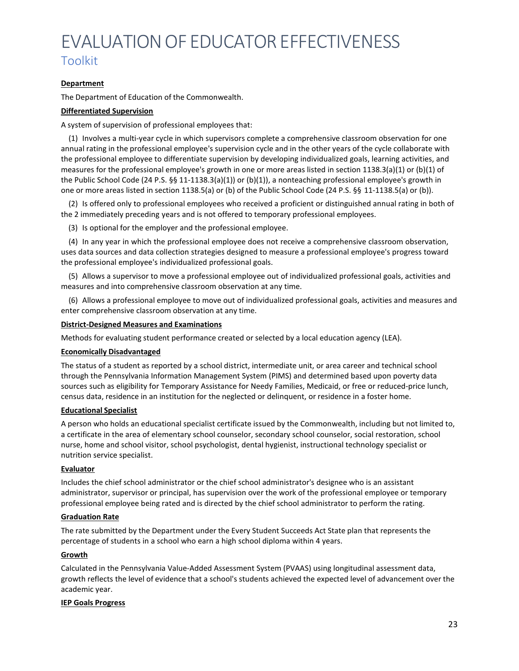#### **Department**

The Department of Education of the Commonwealth.

#### <span id="page-22-0"></span>**Differentiated Supervision**

A system of supervision of professional employees that:

(1) Involves a multi-year cycle in which supervisors complete a comprehensive classroom observation for one annual rating in the professional employee's supervision cycle and in the other years of the cycle collaborate with the professional employee to differentiate supervision by developing individualized goals, learning activities, and measures for the professional employee's growth in one or more areas listed in section 1138.3(a)(1) or (b)(1) of the Public School Code (24 P.S. §§ 11-1138.3(a)(1)) or (b)(1)), a nonteaching professional employee's growth in one or more areas listed in section 1138.5(a) or (b) of the Public School Code (24 P.S. §§ 11-1138.5(a) or (b)).

(2) Is offered only to professional employees who received a proficient or distinguished annual rating in both of the 2 immediately preceding years and is not offered to temporary professional employees.

(3) Is optional for the employer and the professional employee.

(4) In any year in which the professional employee does not receive a comprehensive classroom observation, uses data sources and data collection strategies designed to measure a professional employee's progress toward the professional employee's individualized professional goals.

(5) Allows a supervisor to move a professional employee out of individualized professional goals, activities and measures and into comprehensive classroom observation at any time.

(6) Allows a professional employee to move out of individualized professional goals, activities and measures and enter comprehensive classroom observation at any time.

#### **District-Designed Measures and Examinations**

Methods for evaluating student performance created or selected by a local education agency (LEA).

#### <span id="page-22-1"></span>**Economically Disadvantaged**

The status of a student as reported by a school district, intermediate unit, or area career and technical school through the Pennsylvania Information Management System (PIMS) and determined based upon poverty data sources such as eligibility for Temporary Assistance for Needy Families, Medicaid, or free or reduced-price lunch, census data, residence in an institution for the neglected or delinquent, or residence in a foster home.

#### **Educational Specialist**

A person who holds an educational specialist certificate issued by the Commonwealth, including but not limited to, a certificate in the area of elementary school counselor, secondary school counselor, social restoration, school nurse, home and school visitor, school psychologist, dental hygienist, instructional technology specialist or nutrition service specialist.

#### **Evaluator**

Includes the chief school administrator or the chief school administrator's designee who is an assistant administrator, supervisor or principal, has supervision over the work of the professional employee or temporary professional employee being rated and is directed by the chief school administrator to perform the rating.

#### **Graduation Rate**

The rate submitted by the Department under the Every Student Succeeds Act State plan that represents the percentage of students in a school who earn a high school diploma within 4 years.

#### **Growth**

Calculated in the Pennsylvania Value-Added Assessment System (PVAAS) using longitudinal assessment data, growth reflects the level of evidence that a school's students achieved the expected level of advancement over the academic year.

#### **IEP Goals Progress**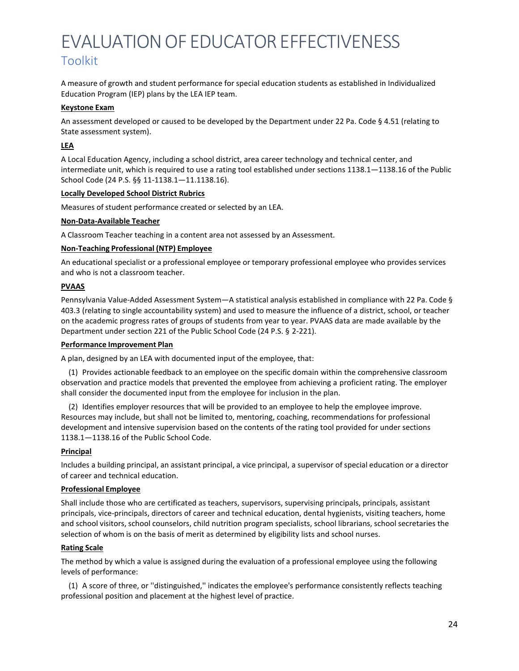A measure of growth and student performance for special education students as established in Individualized Education Program (IEP) plans by the LEA IEP team.

#### **Keystone Exam**

An assessment developed or caused to be developed by the Department under 22 Pa. Code § 4.51 (relating to State assessment system).

#### **LEA**

A Local Education Agency, including a school district, area career technology and technical center, and intermediate unit, which is required to use a rating tool established under sections 1138.1—1138.16 of the Public School Code (24 P.S. §§ 11-1138.1—11.1138.16).

#### **Locally Developed School District Rubrics**

Measures of student performance created or selected by an LEA.

#### **Non-Data-Available Teacher**

A Classroom Teacher teaching in a content area not assessed by an Assessment.

#### **Non-Teaching Professional (NTP) Employee**

An educational specialist or a professional employee or temporary professional employee who provides services and who is not a classroom teacher.

#### **PVAAS**

Pennsylvania Value-Added Assessment System—A statistical analysis established in compliance with 22 Pa. Code § 403.3 (relating to single accountability system) and used to measure the influence of a district, school, or teacher on the academic progress rates of groups of students from year to year. PVAAS data are made available by the Department under section 221 of the Public School Code (24 P.S. § 2-221).

#### <span id="page-23-0"></span>**Performance Improvement Plan**

A plan, designed by an LEA with documented input of the employee, that:

(1) Provides actionable feedback to an employee on the specific domain within the comprehensive classroom observation and practice models that prevented the employee from achieving a proficient rating. The employer shall consider the documented input from the employee for inclusion in the plan.

(2) Identifies employer resources that will be provided to an employee to help the employee improve. Resources may include, but shall not be limited to, mentoring, coaching, recommendations for professional development and intensive supervision based on the contents of the rating tool provided for under sections 1138.1—1138.16 of the Public School Code.

#### **Principal**

Includes a building principal, an assistant principal, a vice principal, a supervisor of special education or a director of career and technical education.

#### **Professional Employee**

Shall include those who are certificated as teachers, supervisors, supervising principals, principals, assistant principals, vice-principals, directors of career and technical education, dental hygienists, visiting teachers, home and school visitors, school counselors, child nutrition program specialists, school librarians, school secretaries the selection of whom is on the basis of merit as determined by eligibility lists and school nurses.

#### **Rating Scale**

The method by which a value is assigned during the evaluation of a professional employee using the following levels of performance:

(1) A score of three, or ''distinguished,'' indicates the employee's performance consistently reflects teaching professional position and placement at the highest level of practice.